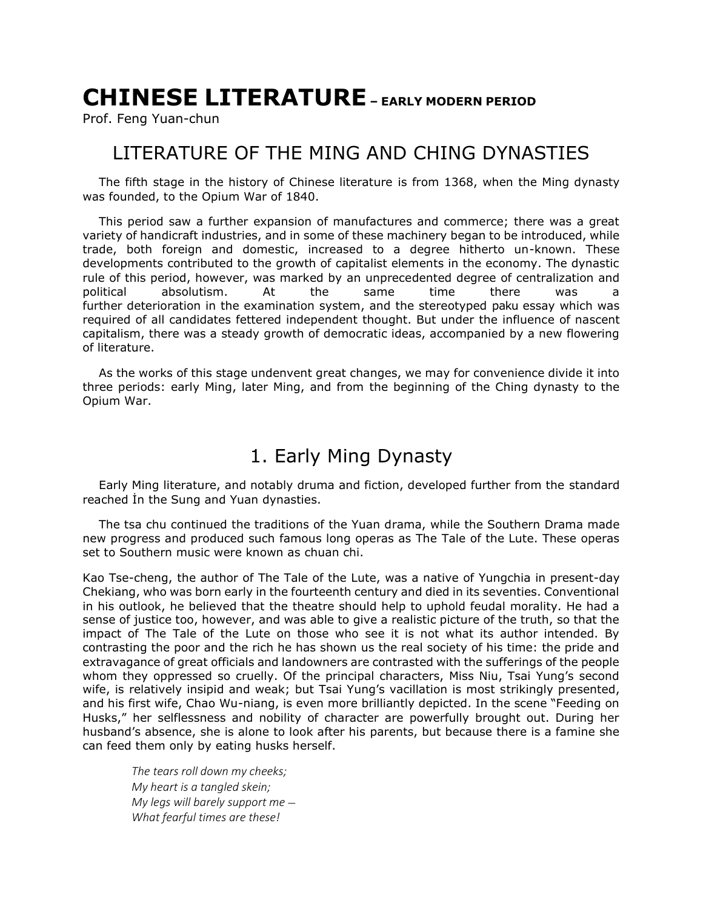# **CHINESE LITERATURE – EARLY MODERN PERIOD**

Prof. Feng Yuan-chun

#### LITERATURE OF THE MING AND CHING DYNASTIES

The fifth stage in the history of Chinese literature is from 1368, when the Ming dynasty was founded, to the Opium War of 1840.

This period saw a further expansion of manufactures and commerce; there was a great variety of handicraft industries, and in some of these machinery began to be introduced, while trade, both foreign and domestic, increased to a degree hitherto un-known. These developments contributed to the growth of capitalist elements in the economy. The dynastic rule of this period, however, was marked by an unprecedented degree of centralization and political absolutism. At the same time there was a further deterioration in the examination system, and the stereotyped paku essay which was required of all candidates fettered independent thought. But under the influence of nascent capitalism, there was a steady growth of democratic ideas, accompanied by a new flowering of literature.

As the works of this stage undenvent great changes, we may for convenience divide it into three periods: early Ming, later Ming, and from the beginning of the Ching dynasty to the Opium War.

## 1. Early Ming Dynasty

Early Ming literature, and notably druma and fiction, developed further from the standard reached İn the Sung and Yuan dynasties.

The tsa chu continued the traditions of the Yuan drama, while the Southern Drama made new progress and produced such famous long operas as The Tale of the Lute. These operas set to Southern music were known as chuan chi.

Kao Tse-cheng, the author of The Tale of the Lute, was a native of Yungchia in present-day Chekiang, who was born early in the fourteenth century and died in its seventies. Conventional in his outlook, he believed that the theatre should help to uphold feudal morality. He had a sense of justice too, however, and was able to give a realistic picture of the truth, so that the impact of The Tale of the Lute on those who see it is not what its author intended. By contrasting the poor and the rich he has shown us the real society of his time: the pride and extravagance of great officials and landowners are contrasted with the sufferings of the people whom they oppressed so cruelly. Of the principal characters, Miss Niu, Tsai Yung's second wife, is relatively insipid and weak; but Tsai Yung's vacillation is most strikingly presented, and his first wife, Chao Wu-niang, is even more brilliantly depicted. In the scene "Feeding on Husks," her selflessness and nobility of character are powerfully brought out. During her husband's absence, she is alone to look after his parents, but because there is a famine she can feed them only by eating husks herself.

*The tears roll down my cheeks; My heart is a tangled skein; My legs will barely support me* — *What fearful times are these!*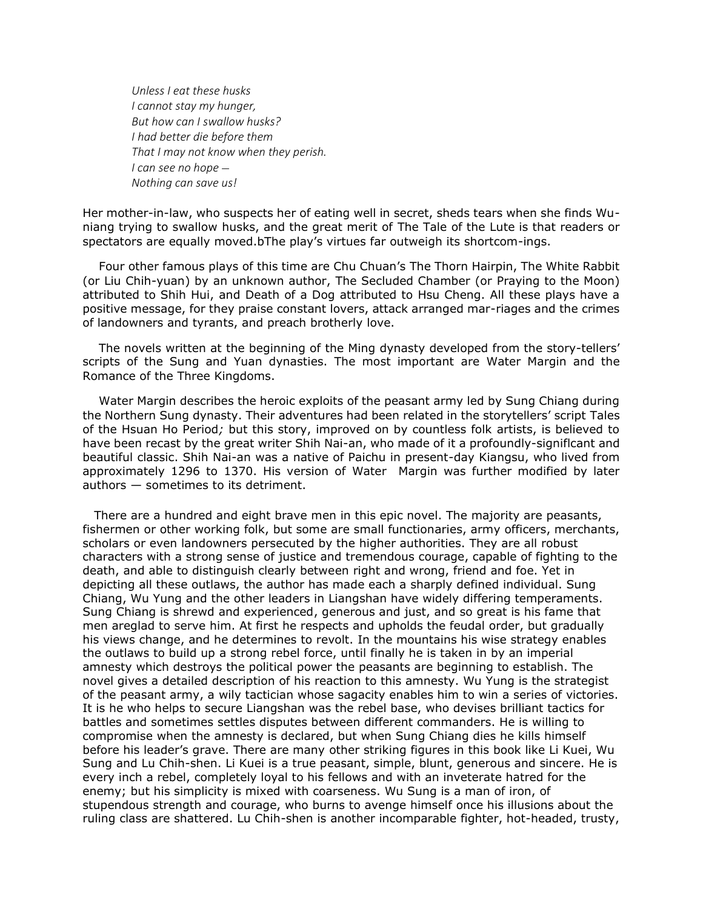*Unless I eat these husks I cannot stay my hunger, But how can I swallow husks? I had better die before them That I may not know when they perish. I can see no hope* — *Nothing can save us!*

Her mother-in-law, who suspects her of eating well in secret, sheds tears when she finds Wuniang trying to swallow husks, and the great merit of The Tale of the Lute is that readers or spectators are equally moved.bThe play's virtues far outweigh its shortcom-ings.

Four other famous plays of this time are Chu Chuan's The Thorn Hairpin, The White Rabbit (or Liu Chih-yuan) by an unknown author, The Secluded Chamber (or Praying to the Moon) attributed to Shih Hui, and Death of a Dog attributed to Hsu Cheng. All these plays have a positive message, for they praise constant lovers, attack arranged mar-riages and the crimes of landowners and tyrants, and preach brotherly love.

The novels written at the beginning of the Ming dynasty developed from the story-tellers' scripts of the Sung and Yuan dynasties. The most important are Water Margin and the Romance of the Three Kingdoms.

Water Margin describes the heroic exploits of the peasant army led by Sung Chiang during the Northern Sung dynasty. Their adventures had been related in the storytellers' script Tales of the Hsuan Ho Period*;* but this story, improved on by countless folk artists, is believed to have been recast by the great writer Shih Nai-an, who made of it a profoundly-signiflcant and beautiful classic. Shih Nai-an was a native of Paichu in present-day Kiangsu, who lived from approximately 1296 to 1370. His version of Water Margin was further modified by later authors — sometimes to its detriment.

There are a hundred and eight brave men in this epic novel. The majority are peasants, fishermen or other working folk, but some are small functionaries, army officers, merchants, scholars or even landowners persecuted by the higher authorities. They are all robust characters with a strong sense of justice and tremendous courage, capable of fighting to the death, and able to distinguish clearly between right and wrong, friend and foe. Yet in depicting all these outlaws, the author has made each a sharply defined individual. Sung Chiang, Wu Yung and the other leaders in Liangshan have widely differing temperaments. Sung Chiang is shrewd and experienced, generous and just, and so great is his fame that men areglad to serve him. At first he respects and upholds the feudal order, but gradually his views change, and he determines to revolt. In the mountains his wise strategy enables the outlaws to build up a strong rebel force, until finally he is taken in by an imperial amnesty which destroys the political power the peasants are beginning to establish. The novel gives a detailed description of his reaction to this amnesty. Wu Yung is the strategist of the peasant army, a wily tactician whose sagacity enables him to win a series of victories. It is he who helps to secure Liangshan was the rebel base, who devises brilliant tactics for battles and sometimes settles disputes between different commanders. He is willing to compromise when the amnesty is declared, but when Sung Chiang dies he kills himself before his leader's grave. There are many other striking figures in this book like Li Kuei, Wu Sung and Lu Chih-shen. Li Kuei is a true peasant, simple, blunt, generous and sincere. He is every inch a rebel, completely loyal to his fellows and with an inveterate hatred for the enemy; but his simplicity is mixed with coarseness. Wu Sung is a man of iron, of stupendous strength and courage, who burns to avenge himself once his illusions about the ruling class are shattered. Lu Chih-shen is another incomparable fighter, hot-headed, trusty,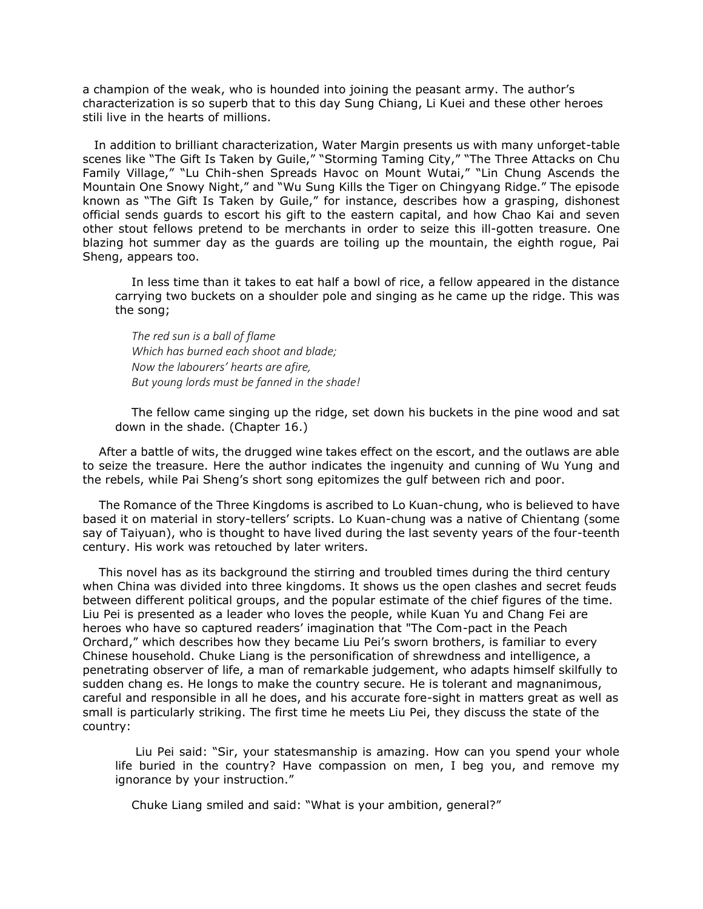a champion of the weak, who is hounded into joining the peasant army. The author's characterization is so superb that to this day Sung Chiang, Li Kuei and these other heroes stili live in the hearts of millions.

In addition to brilliant characterization, Water Margin presents us with many unforget-table scenes like "The Gift Is Taken by Guile," "Storming Taming City," "The Three Attacks on Chu Family Village," "Lu Chih-shen Spreads Havoc on Mount Wutai," "Lin Chung Ascends the Mountain One Snowy Night," and "Wu Sung Kills the Tiger on Chingyang Ridge." The episode known as "The Gift Is Taken by Guile," for instance, describes how a grasping, dishonest official sends guards to escort his gift to the eastern capital, and how Chao Kai and seven other stout fellows pretend to be merchants in order to seize this ill-gotten treasure. One blazing hot summer day as the guards are toiling up the mountain, the eighth rogue, Pai Sheng, appears too.

In less time than it takes to eat half a bowl of rice, a fellow appeared in the distance carrying two buckets on a shoulder pole and singing as he came up the ridge. This was the song;

*The red sun is a ball of flame Which has burned each shoot and blade; Now the labourers' hearts are afire, But young lords must be fanned in the shade!*

The fellow came singing up the ridge, set down his buckets in the pine wood and sat down in the shade. (Chapter 16.)

After a battle of wits, the drugged wine takes effect on the escort, and the outlaws are able to seize the treasure. Here the author indicates the ingenuity and cunning of Wu Yung and the rebels, while Pai Sheng's short song epitomizes the gulf between rich and poor.

The Romance of the Three Kingdoms is ascribed to Lo Kuan-chung, who is believed to have based it on material in story-tellers' scripts. Lo Kuan-chung was a native of Chientang (some say of Taiyuan), who is thought to have lived during the last seventy years of the four-teenth century. His work was retouched by later writers.

This novel has as its background the stirring and troubled times during the third century when China was divided into three kingdoms. It shows us the open clashes and secret feuds between different political groups, and the popular estimate of the chief figures of the time. Liu Pei is presented as a leader who loves the people, while Kuan Yu and Chang Fei are heroes who have so captured readers' imagination that "The Com-pact in the Peach Orchard," which describes how they became Liu Pei's sworn brothers, is familiar to every Chinese household. Chuke Liang is the personification of shrewdness and intelligence, a penetrating observer of life, a man of remarkable judgement, who adapts himself skilfully to sudden chang es. He longs to make the country secure. He is tolerant and magnanimous, careful and responsible in all he does, and his accurate fore-sight in matters great as well as small is particularly striking. The first time he meets Liu Pei, they discuss the state of the country:

Liu Pei said: "Sir, your statesmanship is amazing. How can you spend your whole life buried in the country? Have compassion on men, I beg you, and remove my ignorance by your instruction."

Chuke Liang smiled and said: "What is your ambition, general?"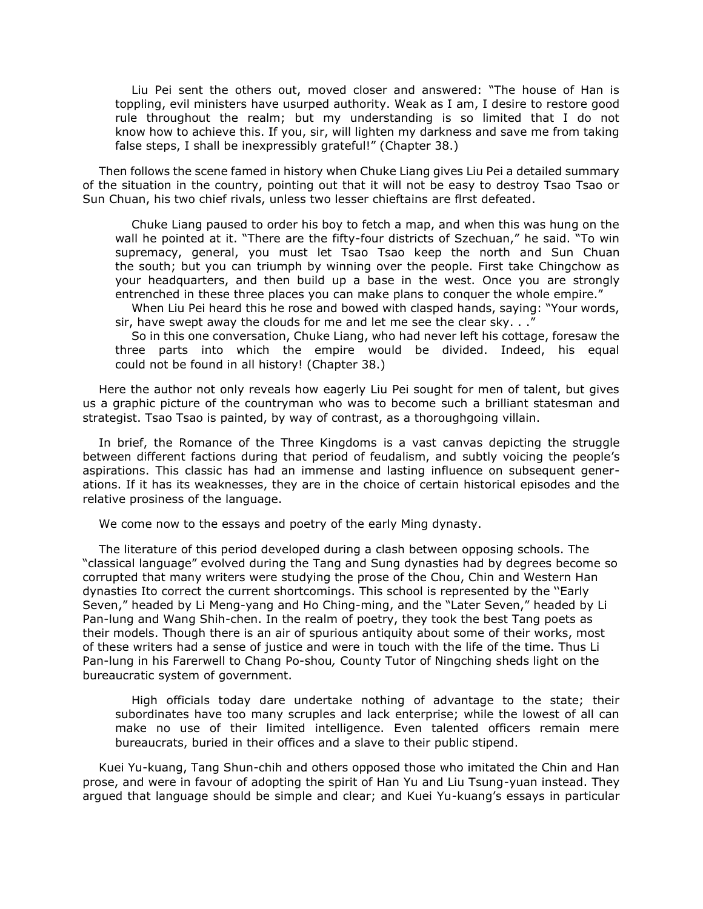Liu Pei sent the others out, moved closer and answered: "The house of Han is toppling, evil ministers have usurped authority. Weak as I am, I desire to restore good rule throughout the realm; but my understanding is so limited that I do not know how to achieve this. If you, sir, will lighten my darkness and save me from taking false steps, I shall be inexpressibly grateful!" (Chapter 38.)

Then follows the scene famed in history when Chuke Liang gives Liu Pei a detailed summary of the situation in the country, pointing out that it will not be easy to destroy Tsao Tsao or Sun Chuan, his two chief rivals, unless two lesser chieftains are flrst defeated.

Chuke Liang paused to order his boy to fetch a map, and when this was hung on the wall he pointed at it. "There are the fifty-four districts of Szechuan," he said. "To win supremacy, general, you must let Tsao Tsao keep the north and Sun Chuan the south; but you can triumph by winning over the people. First take Chingchow as your headquarters, and then build up a base in the west. Once you are strongly entrenched in these three places you can make plans to conquer the whole empire."

When Liu Pei heard this he rose and bowed with clasped hands, saying: "Your words, sir, have swept away the clouds for me and let me see the clear sky. . ."

So in this one conversation, Chuke Liang, who had never left his cottage, foresaw the three parts into which the empire would be divided. Indeed, his equal could not be found in all history! (Chapter 38.)

Here the author not only reveals how eagerly Liu Pei sought for men of talent, but gives us a graphic picture of the countryman who was to become such a brilliant statesman and strategist. Tsao Tsao is painted, by way of contrast, as a thoroughgoing villain.

In brief, the Romance of the Three Kingdoms is a vast canvas depicting the struggle between different factions during that period of feudalism, and subtly voicing the people's aspirations. This classic has had an immense and lasting influence on subsequent generations. If it has its weaknesses, they are in the choice of certain historical episodes and the relative prosiness of the language.

We come now to the essays and poetry of the early Ming dynasty.

The literature of this period developed during a clash between opposing schools. The "classical language" evolved during the Tang and Sung dynasties had by degrees become so corrupted that many writers were studying the prose of the Chou, Chin and Western Han dynasties Ito correct the current shortcomings. This school is represented by the ''Early Seven," headed by Li Meng-yang and Ho Ching-ming, and the "Later Seven," headed by Li Pan-lung and Wang Shih-chen. In the realm of poetry, they took the best Tang poets as their models. Though there is an air of spurious antiquity about some of their works, most of these writers had a sense of justice and were in touch with the life of the time. Thus Li Pan-lung in his Farerwell to Chang Po-shou*,* County Tutor of Ningching sheds light on the bureaucratic system of government.

High officials today dare undertake nothing of advantage to the state; their subordinates have too many scruples and lack enterprise; while the lowest of all can make no use of their limited intelligence. Even talented officers remain mere bureaucrats, buried in their offices and a slave to their public stipend.

Kuei Yu-kuang, Tang Shun-chih and others opposed those who imitated the Chin and Han prose, and were in favour of adopting the spirit of Han Yu and Liu Tsung-yuan instead. They argued that language should be simple and clear; and Kuei Yu-kuang's essays in particular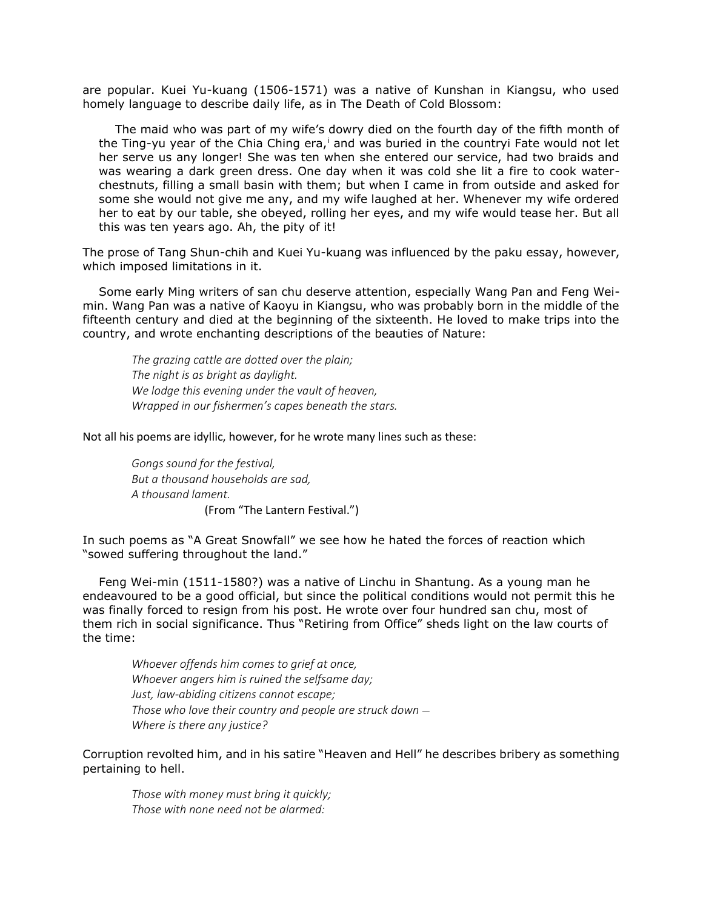are popular. Kuei Yu-kuang (1506-1571) was a native of Kunshan in Kiangsu, who used homely language to describe daily life, as in The Death of Cold Blossom:

The maid who was part of my wife's dowry died on the fourth day of the fifth month of the Ting-yu year of the Chia Ching era, $\overline{a}$  and was buried in the countryi Fate would not let her serve us any longer! She was ten when she entered our service, had two braids and was wearing a dark green dress. One day when it was cold she lit a fire to cook waterchestnuts, filling a small basin with them; but when I came in from outside and asked for some she would not give me any, and my wife laughed at her. Whenever my wife ordered her to eat by our table, she obeyed, rolling her eyes, and my wife would tease her. But all this was ten years ago. Ah, the pity of it!

The prose of Tang Shun-chih and Kuei Yu-kuang was influenced by the paku essay, however, which imposed limitations in it.

Some early Ming writers of san chu deserve attention, especially Wang Pan and Feng Weimin. Wang Pan was a native of Kaoyu in Kiangsu, who was probably born in the middle of the fifteenth century and died at the beginning of the sixteenth. He loved to make trips into the country, and wrote enchanting descriptions of the beauties of Nature:

*The grazing cattle are dotted over the plain; The night is as bright as daylight. We lodge this evening under the vault of heaven, Wrapped in our fishermen's capes beneath the stars.*

Not all his poems are idyllic, however, for he wrote many lines such as these:

*Gongs sound for the festival, But a thousand households are sad, A thousand lament.* (From "The Lantern Festival.")

In such poems as "A Great Snowfall" we see how he hated the forces of reaction which "sowed suffering throughout the land."

Feng Wei-min (1511-1580?) was a native of Linchu in Shantung. As a young man he endeavoured to be a good official, but since the political conditions would not permit this he was finally forced to resign from his post. He wrote over four hundred san chu, most of them rich in social significance. Thus "Retiring from Office" sheds light on the law courts of the time:

*Whoever offends him comes to grief at once, Whoever angers him is ruined the selfsame day; Just, law-abiding citizens cannot escape; Those who love their country and people are struck down* — *Where is there any justice?*

Corruption revolted him, and in his satire "Heaven and Hell" he describes bribery as something pertaining to hell.

*Those with money must bring it quickly; Those with none need not be alarmed:*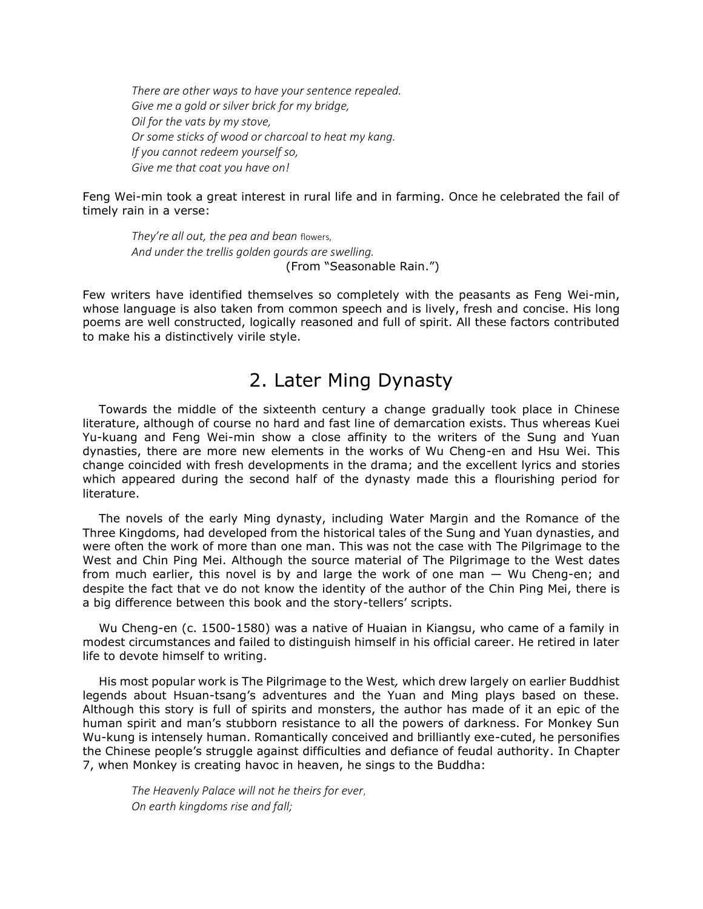*There are other ways to have your sentence repealed. Give me a gold or silver brick for my bridge, Oil for the vats by my stove, Or some sticks of wood or charcoal to heat my kang. If you cannot redeem yourself so, Give me that coat you have on!*

Feng Wei-min took a great interest in rural life and in farming. Once he celebrated the fail of timely rain in a verse:

*They're all out, the pea and bean* flowers, *And under the trellis golden gourds are swelling.* (From "Seasonable Rain.")

Few writers have identified themselves so completely with the peasants as Feng Wei-min, whose language is also taken from common speech and is lively, fresh and concise. His long poems are well constructed, logically reasoned and full of spirit. All these factors contributed to make his a distinctively virile style.

## 2. Later Ming Dynasty

Towards the middle of the sixteenth century a change gradually took place in Chinese literature, although of course no hard and fast line of demarcation exists. Thus whereas Kuei Yu-kuang and Feng Wei-min show a close affinity to the writers of the Sung and Yuan dynasties, there are more new elements in the works of Wu Cheng-en and Hsu Wei. This change coincided with fresh developments in the drama; and the excellent lyrics and stories which appeared during the second half of the dynasty made this a flourishing period for literature.

The novels of the early Ming dynasty, including Water Margin and the Romance of the Three Kingdoms, had developed from the historical tales of the Sung and Yuan dynasties, and were often the work of more than one man. This was not the case with The Pilgrimage to the West and Chin Ping Mei. Although the source material of The Pilgrimage to the West dates from much earlier, this novel is by and large the work of one man — Wu Cheng-en; and despite the fact that ve do not know the identity of the author of the Chin Ping Mei, there is a big difference between this book and the story-tellers' scripts.

Wu Cheng-en (c. 1500-1580) was a native of Huaian in Kiangsu, who came of a family in modest circumstances and failed to distinguish himself in his official career. He retired in later life to devote himself to writing.

His most popular work is The Pilgrimage to the West*,* which drew largely on earlier Buddhist legends about Hsuan-tsang's adventures and the Yuan and Ming plays based on these. Although this story is full of spirits and monsters, the author has made of it an epic of the human spirit and man's stubborn resistance to all the powers of darkness. For Monkey Sun Wu-kung is intensely human. Romantically conceived and brilliantly exe-cuted, he personifies the Chinese people's struggle against difficulties and defiance of feudal authority. In Chapter 7, when Monkey is creating havoc in heaven, he sings to the Buddha:

*The Heavenly Palace will not he theirs for ever*, *On earth kingdoms rise and fall;*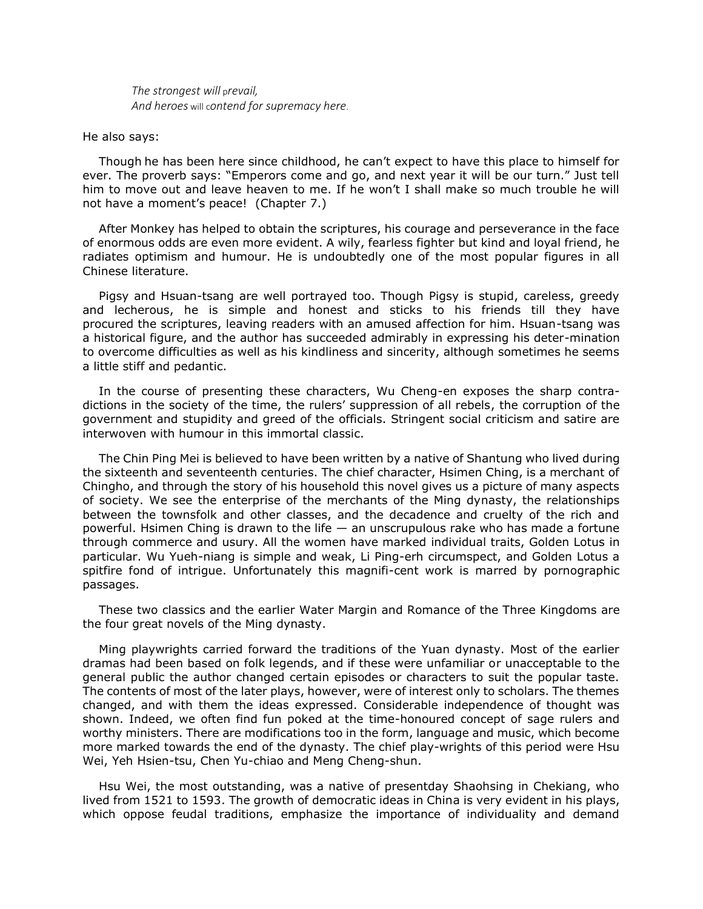*The strongest will* p*revail, And heroes* will c*ontend for supremacy here*.

He also says:

Though he has been here since childhood, he can't expect to have this place to himself for ever. The proverb says: "Emperors come and go, and next year it will be our turn." Just tell him to move out and leave heaven to me. If he won't I shall make so much trouble he will not have a moment's peace! (Chapter 7.)

After Monkey has helped to obtain the scriptures, his courage and perseverance in the face of enormous odds are even more evident. A wily, fearless fighter but kind and loyal friend, he radiates optimism and humour. He is undoubtedly one of the most popular figures in all Chinese literature.

Pigsy and Hsuan-tsang are well portrayed too. Though Pigsy is stupid, careless, greedy and lecherous, he is simple and honest and sticks to his friends till they have procured the scriptures, leaving readers with an amused affection for him. Hsuan-tsang was a historical figure, and the author has succeeded admirably in expressing his deter-mination to overcome difficulties as well as his kindliness and sincerity, although sometimes he seems a little stiff and pedantic.

In the course of presenting these characters, Wu Cheng-en exposes the sharp contradictions in the society of the time, the rulers' suppression of all rebels, the corruption of the government and stupidity and greed of the officials. Stringent social criticism and satire are interwoven with humour in this immortal classic.

The Chin Ping Mei is believed to have been written by a native of Shantung who lived during the sixteenth and seventeenth centuries. The chief character, Hsimen Ching, is a merchant of Chingho, and through the story of his household this novel gives us a picture of many aspects of society. We see the enterprise of the merchants of the Ming dynasty, the relationships between the townsfolk and other classes, and the decadence and cruelty of the rich and powerful. Hsimen Ching is drawn to the life — an unscrupulous rake who has made a fortune through commerce and usury. All the women have marked individual traits, Golden Lotus in particular. Wu Yueh-niang is simple and weak, Li Ping-erh circumspect, and Golden Lotus a spitfire fond of intrigue. Unfortunately this magnifi-cent work is marred by pornographic passages.

These two classics and the earlier Water Margin and Romance of the Three Kingdoms are the four great novels of the Ming dynasty.

Ming playwrights carried forward the traditions of the Yuan dynasty. Most of the earlier dramas had been based on folk legends, and if these were unfamiliar or unacceptable to the general public the author changed certain episodes or characters to suit the popular taste. The contents of most of the later plays, however, were of interest only to scholars. The themes changed, and with them the ideas expressed. Considerable independence of thought was shown. Indeed, we often find fun poked at the time-honoured concept of sage rulers and worthy ministers. There are modifications too in the form, language and music, which become more marked towards the end of the dynasty. The chief play-wrights of this period were Hsu Wei, Yeh Hsien-tsu, Chen Yu-chiao and Meng Cheng-shun.

Hsu Wei, the most outstanding, was a native of presentday Shaohsing in Chekiang, who lived from 1521 to 1593. The growth of democratic ideas in China is very evident in his plays, which oppose feudal traditions, emphasize the importance of individuality and demand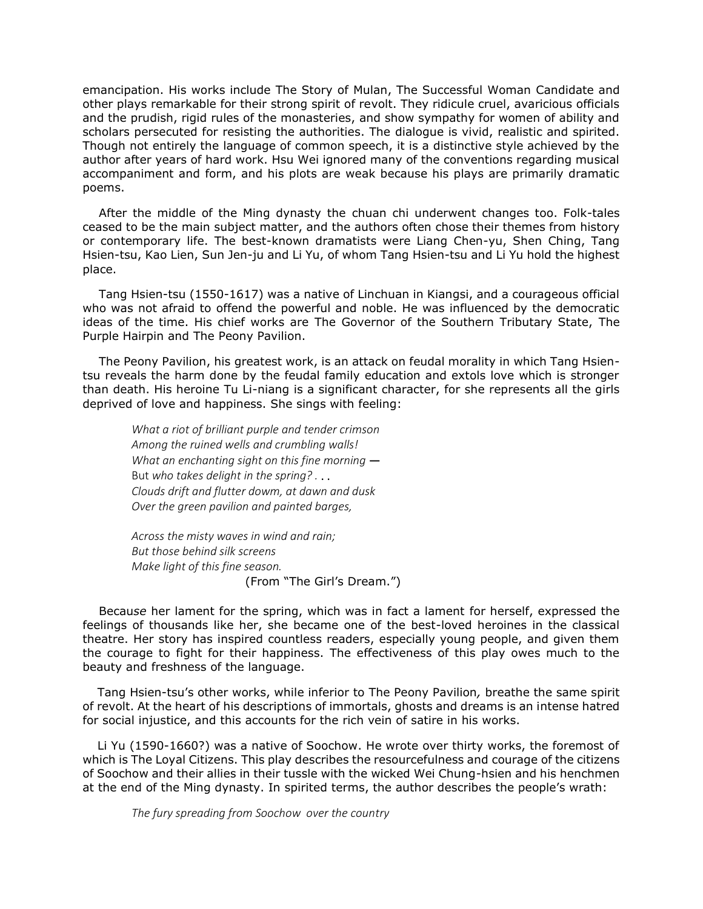emancipation. His works include The Story of Mulan, The Successful Woman Candidate and other plays remarkable for their strong spirit of revolt. They ridicule cruel, avaricious officials and the prudish, rigid rules of the monasteries, and show sympathy for women of ability and scholars persecuted for resisting the authorities. The dialogue is vivid, realistic and spirited. Though not entirely the language of common speech, it is a distinctive style achieved by the author after years of hard work. Hsu Wei ignored many of the conventions regarding musical accompaniment and form, and his plots are weak because his plays are primarily dramatic poems.

After the middle of the Ming dynasty the chuan chi underwent changes too. Folk-tales ceased to be the main subject matter, and the authors often chose their themes from history or contemporary life. The best-known dramatists were Liang Chen-yu, Shen Ching, Tang Hsien-tsu, Kao Lien, Sun Jen-ju and Li Yu, of whom Tang Hsien-tsu and Li Yu hold the highest place.

Tang Hsien-tsu (1550-1617) was a native of Linchuan in Kiangsi, and a courageous official who was not afraid to offend the powerful and noble. He was influenced by the democratic ideas of the time. His chief works are The Governor of the Southern Tributary State, The Purple Hairpin and The Peony Pavilion.

The Peony Pavilion, his greatest work, is an attack on feudal morality in which Tang Hsientsu reveals the harm done by the feudal family education and extols love which is stronger than death. His heroine Tu Li-niang is a significant character, for she represents all the girls deprived of love and happiness. She sings with feeling:

*What a riot of brilliant purple and tender crimson Among the ruined wells and crumbling walls! What an enchanting sight on this fine morning* — But *who takes delight in the spring? .* . . *Clouds drift and flutter dowm, at dawn and dusk Over the green pavilion and painted barges,*

*Across the misty waves in wind and rain; But those behind silk screens Make light of this fine season.* (From "The Girl's Dream.")

Becau*se* her lament for the spring, which was in fact a lament for herself, expressed the feelings of thousands like her, she became one of the best-loved heroines in the classical theatre. Her story has inspired countless readers, especially young people, and given them the courage to fight for their happiness. The effectiveness of this play owes much to the beauty and freshness of the language.

Tang Hsien-tsu's other works, while inferior to The Peony Pavilion*,* breathe the same spirit of revolt. At the heart of his descriptions of immortals, ghosts and dreams is an intense hatred for social injustice, and this accounts for the rich vein of satire in his works.

Li Yu (1590-1660?) was a native of Soochow. He wrote over thirty works, the foremost of which is The Loyal Citizens. This play describes the resourcefulness and courage of the citizens of Soochow and their allies in their tussle with the wicked Wei Chung-hsien and his henchmen at the end of the Ming dynasty. In spirited terms, the author describes the people's wrath:

*The fury spreading from Soochow over the country*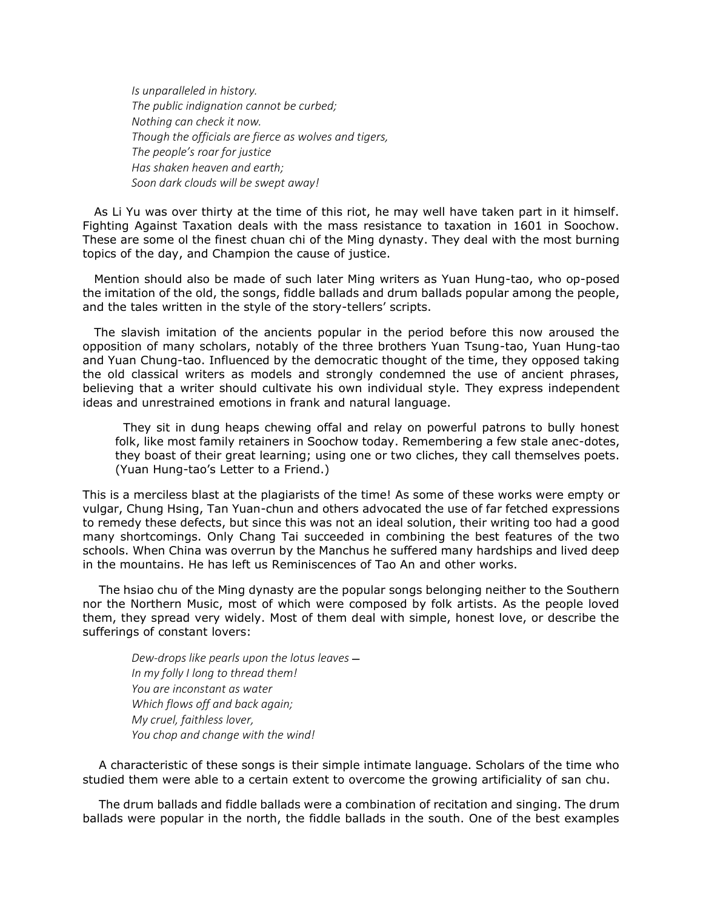*Is unparalleled in history. The public indignation cannot be curbed; Nothing can check it now. Though the officials are fierce as wolves and tigers, The people's roar for justice Has shaken heaven and earth; Soon dark clouds will be swept away!*

As Li Yu was over thirty at the time of this riot, he may well have taken part in it himself. Fighting Against Taxation deals with the mass resistance to taxation in 1601 in Soochow. These are some ol the finest chuan chi of the Ming dynasty. They deal with the most burning topics of the day, and Champion the cause of justice.

Mention should also be made of such later Ming writers as Yuan Hung-tao, who op-posed the imitation of the old, the songs, fiddle ballads and drum ballads popular among the people, and the tales written in the style of the story-tellers' scripts.

The slavish imitation of the ancients popular in the period before this now aroused the opposition of many scholars, notably of the three brothers Yuan Tsung-tao, Yuan Hung-tao and Yuan Chung-tao. Influenced by the democratic thought of the time, they opposed taking the old classical writers as models and strongly condemned the use of ancient phrases, believing that a writer should cultivate his own individual style. They express independent ideas and unrestrained emotions in frank and natural language.

They sit in dung heaps chewing offal and relay on powerful patrons to bully honest folk, like most family retainers in Soochow today. Remembering a few stale anec-dotes, they boast of their great learning; using one or two cliches, they call themselves poets. (Yuan Hung-tao's Letter to a Friend.)

This is a merciless blast at the plagiarists of the time! As some of these works were empty or vulgar, Chung Hsing, Tan Yuan-chun and others advocated the use of far fetched expressions to remedy these defects, but since this was not an ideal solution, their writing too had a good many shortcomings. Only Chang Tai succeeded in combining the best features of the two schools. When China was overrun by the Manchus he suffered many hardships and lived deep in the mountains. He has left us Reminiscences of Tao An and other works.

The hsiao chu of the Ming dynasty are the popular songs belonging neither to the Southern nor the Northern Music, most of which were composed by folk artists. As the people loved them, they spread very widely. Most of them deal with simple, honest love, or describe the sufferings of constant lovers:

*Dew-drops like pearls upon the lotus leaves* — *In my folly I long to thread them! You are inconstant as water Which flows off and back again; My cruel, faithless lover, You chop and change with the wind!*

A characteristic of these songs is their simple intimate language. Scholars of the time who studied them were able to a certain extent to overcome the growing artificiality of san chu.

The drum ballads and fiddle ballads were a combination of recitation and singing. The drum ballads were popular in the north, the fiddle ballads in the south. One of the best examples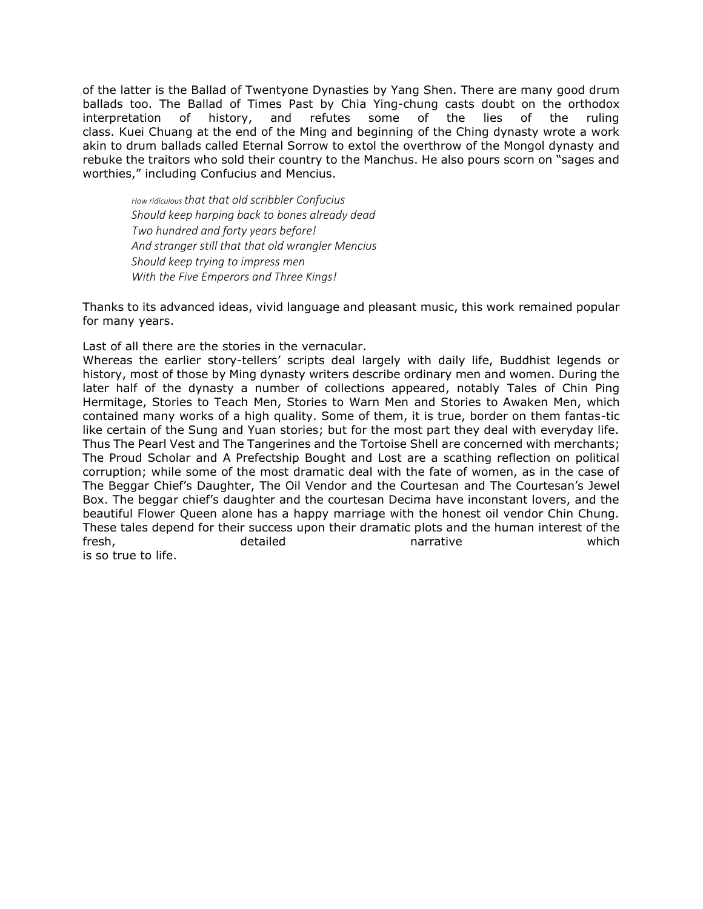of the latter is the Ballad of Twentyone Dynasties by Yang Shen. There are many good drum ballads too. The Ballad of Times Past by Chia Ying-chung casts doubt on the orthodox interpretation of history, and refutes some of the lies of the ruling class. Kuei Chuang at the end of the Ming and beginning of the Ching dynasty wrote a work akin to drum ballads called Eternal Sorrow to extol the overthrow of the Mongol dynasty and rebuke the traitors who sold their country to the Manchus. He also pours scorn on "sages and worthies," including Confucius and Mencius.

*How ridiculous that that old scribbler Confucius Should keep harping back to bones already dead Two hundred and forty years before! And stranger still that that old wrangler Mencius Should keep trying to impress men With the Five Emperors and Three Kings!*

Thanks to its advanced ideas, vivid language and pleasant music, this work remained popular for many years.

Last of all there are the stories in the vernacular.

Whereas the earlier story-tellers' scripts deal largely with daily life, Buddhist legends or history, most of those by Ming dynasty writers describe ordinary men and women. During the later half of the dynasty a number of collections appeared, notably Tales of Chin Ping Hermitage, Stories to Teach Men, Stories to Warn Men and Stories to Awaken Men, which contained many works of a high quality. Some of them, it is true, border on them fantas-tic like certain of the Sung and Yuan stories; but for the most part they deal with everyday life. Thus The Pearl Vest and The Tangerines and the Tortoise Shell are concerned with merchants; The Proud Scholar and A Prefectship Bought and Lost are a scathing reflection on political corruption; while some of the most dramatic deal with the fate of women, as in the case of The Beggar Chief's Daughter, The Oil Vendor and the Courtesan and The Courtesan's Jewel Box. The beggar chief's daughter and the courtesan Decima have inconstant lovers, and the beautiful Flower Queen alone has a happy marriage with the honest oil vendor Chin Chung. These tales depend for their success upon their dramatic plots and the human interest of the fresh, detailed narrative which

is so true to life.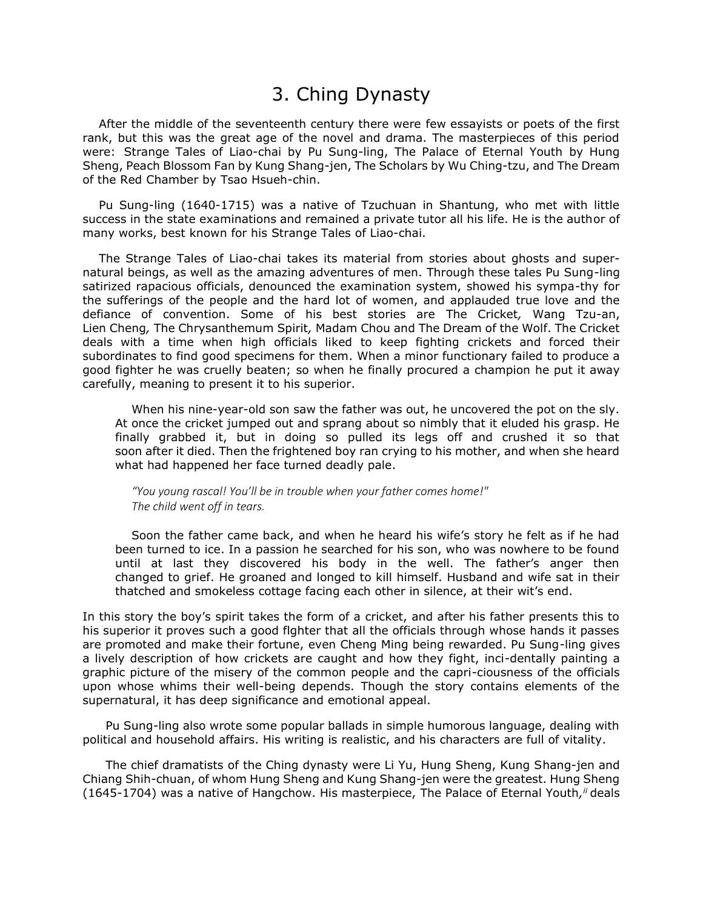## 3. Ching Dynasty

After the middle of the seventeenth century there were few essayists or poets of the first rank, but this was the great age of the novel and drama. The masterpieces of this period were: Strange Tales of Liao-chai by Pu Sung-ling, The Palace of Eternal Youth by Hung Sheng, Peach Blossom Fan by Kung Shang-jen, The Scholars by Wu Ching-tzu, and The Dream of the Red Chamber by Tsao Hsueh-chin.

Pu Sung-ling (1640-1715) was a native of Tzuchuan in Shantung, who met with little success in the state examinations and remained a private tutor all his life. He is the author of many works, best known for his Strange Tales of Liao-chai.

The Strange Tales of Liao-chai takes its material from stories about ghosts and supernatural beings, as well as the amazing adventures of men. Through these tales Pu Sung-ling satirized rapacious officials, denounced the examination system, showed his sympa-thy for the sufferings of the people and the hard lot of women, and applauded true love and the defiance of convention. Some of his best stories are The Cricket*,* Wang Tzu-an, Lien Cheng*,* The Chrysanthemum Spirit*,* Madam Chou and The Dream of the Wolf. The Cricket deals with a time when high officials liked to keep fighting crickets and forced their subordinates to find good specimens for them. When a minor functionary failed to produce a good fighter he was cruelly beaten; so when he finally procured a champion he put it away carefully, meaning to present it to his superior.

When his nine-year-old son saw the father was out, he uncovered the pot on the sly. At once the cricket jumped out and sprang about so nimbly that it eluded his grasp. He finally grabbed it, but in doing so pulled its legs off and crushed it so that soon after it died. Then the frightened boy ran crying to his mother, and when she heard what had happened her face turned deadly pale.

*"You young rascal! You'll be in trouble when your father comes home!" The child went off in tears.*

Soon the father came back, and when he heard his wife's story he felt as if he had been turned to ice. In a passion he searched for his son, who was nowhere to be found until at last they discovered his body in the well. The father's anger then changed to grief. He groaned and longed to kill himself. Husband and wife sat in their thatched and smokeless cottage facing each other in silence, at their wit's end.

In this story the boy's spirit takes the form of a cricket, and after his father presents this to his superior it proves such a good flghter that all the officials through whose hands it passes are promoted and make their fortune, even Cheng Ming being rewarded. Pu Sung-ling gives a lively description of how crickets are caught and how they fight, inci-dentally painting a graphic picture of the misery of the common people and the capri-ciousness of the officials upon whose whims their well-being depends. Though the story contains elements of the supernatural, it has deep significance and emotional appeal.

Pu Sung-ling also wrote some popular ballads in simple humorous language, dealing with political and household affairs. His writing is realistic, and his characters are full of vitality.

The chief dramatists of the Ching dynasty were Li Yu, Hung Sheng, Kung Shang-jen and Chiang Shih-chuan, of whom Hung Sheng and Kung Shang-jen were the greatest. Hung Sheng (1645-1704) was a native of Hangchow. His masterpiece, The Palace of Eternal Youth*, ii* deals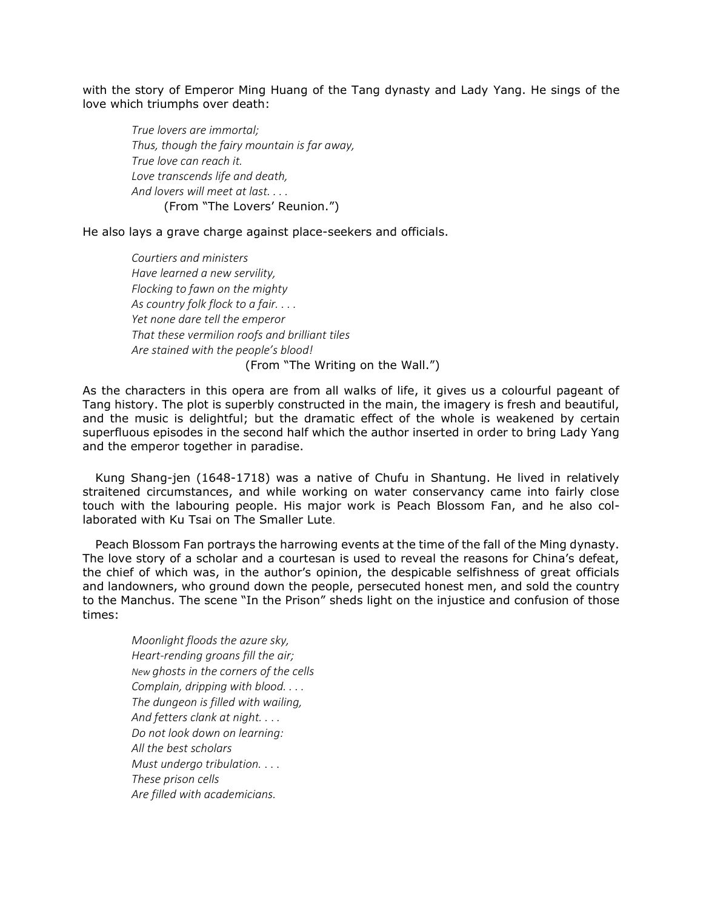with the story of Emperor Ming Huang of the Tang dynasty and Lady Yang. He sings of the love which triumphs over death:

*True lovers are immortal; Thus, though the fairy mountain is far away, True love can reach it. Love transcends life and death, And lovers will meet at last. . . .* (From "The Lovers' Reunion.")

He also lays a grave charge against place-seekers and officials.

*Courtiers and ministers Have learned a new servility, Flocking to fawn on the mighty As country folk flock to a fair. . . . Yet none dare tell the emperor That these vermilion roofs and brilliant tiles Are stained with the people's blood!* (From "The Writing on the Wall.")

As the characters in this opera are from all walks of life, it gives us a colourful pageant of Tang history. The plot is superbly constructed in the main, the imagery is fresh and beautiful, and the music is delightful; but the dramatic effect of the whole is weakened by certain superfluous episodes in the second half which the author inserted in order to bring Lady Yang and the emperor together in paradise.

Kung Shang-jen (1648-1718) was a native of Chufu in Shantung. He lived in relatively straitened circumstances, and while working on water conservancy came into fairly close touch with the labouring people. His major work is Peach Blossom Fan, and he also collaborated with Ku Tsai on The Smaller Lute*.*

Peach Blossom Fan portrays the harrowing events at the time of the fall of the Ming dynasty. The love story of a scholar and a courtesan is used to reveal the reasons for China's defeat, the chief of which was, in the author's opinion, the despicable selfishness of great officials and landowners, who ground down the people, persecuted honest men, and sold the country to the Manchus. The scene "In the Prison" sheds light on the injustice and confusion of those times:

*Moonlight floods the azure sky, Heart-rending groans fill the air; New ghosts in the corners of the cells Complain, dripping with blood. . . . The dungeon is filled with wailing, And fetters clank at night. .* . *. Do not look down on learning: All the best scholars Must undergo tribulation.* . . . *These prison cells Are filled with academicians.*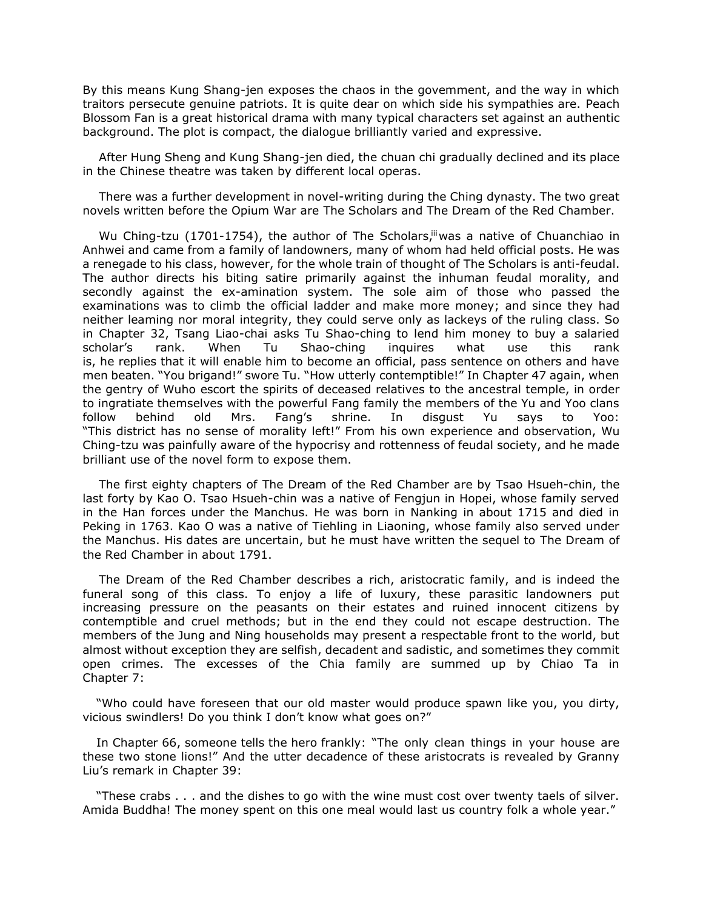By this means Kung Shang-jen exposes the chaos in the govemment, and the way in which traitors persecute genuine patriots. It is quite dear on which side his sympathies are. Peach Blossom Fan is a great historical drama with many typical characters set against an authentic background. The plot is compact, the dialogue brilliantly varied and expressive.

After Hung Sheng and Kung Shang-jen died, the chuan chi gradually declined and its place in the Chinese theatre was taken by different local operas.

There was a further development in novel-writing during the Ching dynasty. The two great novels written before the Opium War are The Scholars and The Dream of the Red Chamber.

Wu Ching-tzu (1701-1754), the author of The Scholars, was a native of Chuanchiao in Anhwei and came from a family of landowners, many of whom had held official posts. He was a renegade to his class, however, for the whole train of thought of The Scholars is anti-feudal. The author directs his biting satire primarily against the inhuman feudal morality, and secondly against the ex-amination system. The sole aim of those who passed the examinations was to climb the official ladder and make more money; and since they had neither leaming nor moral integrity, they could serve only as lackeys of the ruling class. So in Chapter 32, Tsang Liao-chai asks Tu Shao-ching to lend him money to buy a salaried scholar's rank. When Tu Shao-ching inquires what use this rank is, he replies that it will enable him to become an official, pass sentence on others and have men beaten. "You brigand!" swore Tu. "How utterly contemptible!" In Chapter 47 again, when the gentry of Wuho escort the spirits of deceased relatives to the ancestral temple, in order to ingratiate themselves with the powerful Fang family the members of the Yu and Yoo clans follow behind old Mrs. Fang's shrine. In disgust Yu says to Yoo: "This district has no sense of morality left!" From his own experience and observation, Wu Ching-tzu was painfully aware of the hypocrisy and rottenness of feudal society, and he made brilliant use of the novel form to expose them.

The first eighty chapters of The Dream of the Red Chamber are by Tsao Hsueh-chin, the last forty by Kao O. Tsao Hsueh-chin was a native of Fengjun in Hopei, whose family served in the Han forces under the Manchus. He was born in Nanking in about 1715 and died in Peking in 1763. Kao O was a native of Tiehling in Liaoning, whose family also served under the Manchus. His dates are uncertain, but he must have written the sequel to The Dream of the Red Chamber in about 1791.

The Dream of the Red Chamber describes a rich, aristocratic family, and is indeed the funeral song of this class. To enjoy a life of luxury, these parasitic landowners put increasing pressure on the peasants on their estates and ruined innocent citizens by contemptible and cruel methods; but in the end they could not escape destruction. The members of the Jung and Ning households may present a respectable front to the world, but almost without exception they are selfish, decadent and sadistic, and sometimes they commit open crimes. The excesses of the Chia family are summed up by Chiao Ta in Chapter 7:

"Who could have foreseen that our old master would produce spawn like you, you dirty, vicious swindlers! Do you think I don't know what goes on?"

In Chapter 66, someone tells the hero frankly: "The only clean things in your house are these two stone lions!" And the utter decadence of these aristocrats is revealed by Granny Liu's remark in Chapter 39:

"These crabs . . . and the dishes to go with the wine must cost over twenty taels of silver. Amida Buddha! The money spent on this one meal would last us country folk a whole year."